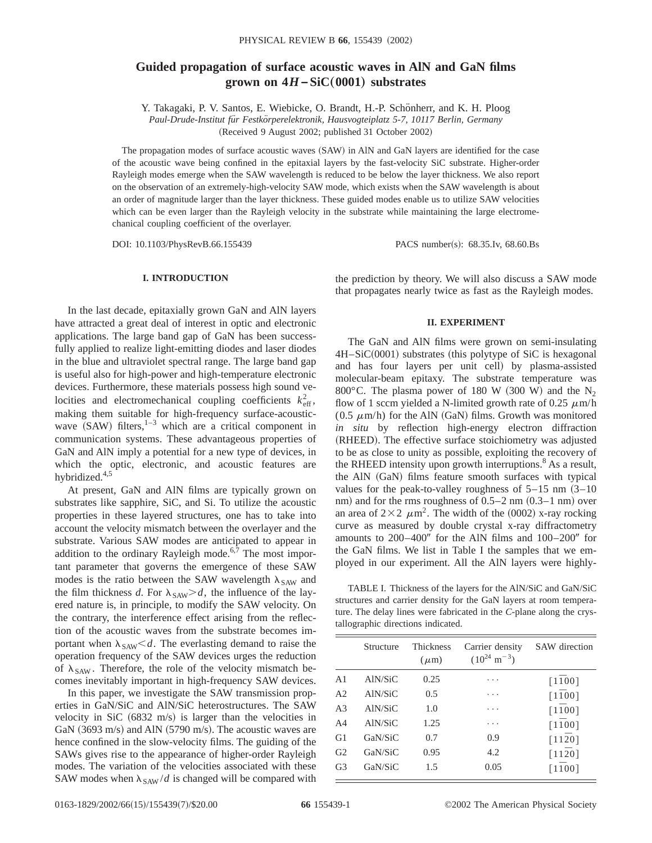# **Guided propagation of surface acoustic waves in AlN and GaN films grown on**  $4H$ **–SiC** $(0001)$  substrates

Y. Takagaki, P. V. Santos, E. Wiebicke, O. Brandt, H.-P. Schönherr, and K. H. Ploog

*Paul-Drude-Institut fu¨r Festko¨rperelektronik, Hausvogteiplatz 5-7, 10117 Berlin, Germany* (Received 9 August 2002; published 31 October 2002)

The propagation modes of surface acoustic waves (SAW) in AlN and GaN layers are identified for the case of the acoustic wave being confined in the epitaxial layers by the fast-velocity SiC substrate. Higher-order Rayleigh modes emerge when the SAW wavelength is reduced to be below the layer thickness. We also report on the observation of an extremely-high-velocity SAW mode, which exists when the SAW wavelength is about an order of magnitude larger than the layer thickness. These guided modes enable us to utilize SAW velocities which can be even larger than the Rayleigh velocity in the substrate while maintaining the large electromechanical coupling coefficient of the overlayer.

DOI: 10.1103/PhysRevB.66.155439 PACS number(s): 68.35.Iv, 68.60.Bs

## **I. INTRODUCTION**

In the last decade, epitaxially grown GaN and AlN layers have attracted a great deal of interest in optic and electronic applications. The large band gap of GaN has been successfully applied to realize light-emitting diodes and laser diodes in the blue and ultraviolet spectral range. The large band gap is useful also for high-power and high-temperature electronic devices. Furthermore, these materials possess high sound velocities and electromechanical coupling coefficients  $k_{\text{eff}}^2$ , making them suitable for high-frequency surface-acousticwave  $(SAW)$  filters,<sup>1–3</sup> which are a critical component in communication systems. These advantageous properties of GaN and AlN imply a potential for a new type of devices, in which the optic, electronic, and acoustic features are hybridized.4,5

At present, GaN and AlN films are typically grown on substrates like sapphire, SiC, and Si. To utilize the acoustic properties in these layered structures, one has to take into account the velocity mismatch between the overlayer and the substrate. Various SAW modes are anticipated to appear in addition to the ordinary Rayleigh mode.<sup>6,7</sup> The most important parameter that governs the emergence of these SAW modes is the ratio between the SAW wavelength  $\lambda_{SAW}$  and the film thickness *d*. For  $\lambda_{SAW} > d$ , the influence of the layered nature is, in principle, to modify the SAW velocity. On the contrary, the interference effect arising from the reflection of the acoustic waves from the substrate becomes important when  $\lambda_{SAW} < d$ . The everlasting demand to raise the operation frequency of the SAW devices urges the reduction of  $\lambda_{SAW}$ . Therefore, the role of the velocity mismatch becomes inevitably important in high-frequency SAW devices.

In this paper, we investigate the SAW transmission properties in GaN/SiC and AlN/SiC heterostructures. The SAW velocity in SiC  $(6832 \text{ m/s})$  is larger than the velocities in GaN  $(3693 \text{ m/s})$  and AlN  $(5790 \text{ m/s})$ . The acoustic waves are hence confined in the slow-velocity films. The guiding of the SAWs gives rise to the appearance of higher-order Rayleigh modes. The variation of the velocities associated with these SAW modes when  $\lambda_{SAW}/d$  is changed will be compared with the prediction by theory. We will also discuss a SAW mode that propagates nearly twice as fast as the Rayleigh modes.

#### **II. EXPERIMENT**

The GaN and AlN films were grown on semi-insulating  $4H-SiC(0001)$  substrates (this polytype of SiC is hexagonal and has four layers per unit cell) by plasma-assisted molecular-beam epitaxy. The substrate temperature was 800 $^{\circ}$ C. The plasma power of 180 W (300 W) and the N<sub>2</sub> flow of 1 sccm yielded a N-limited growth rate of 0.25  $\mu$ m/h (0.5  $\mu$ m/h) for the AlN (GaN) films. Growth was monitored *in situ* by reflection high-energy electron diffraction (RHEED). The effective surface stoichiometry was adjusted to be as close to unity as possible, exploiting the recovery of the RHEED intensity upon growth interruptions. $8$  As a result, the AlN (GaN) films feature smooth surfaces with typical values for the peak-to-valley roughness of  $5-15$  nm  $(3-10)$ nm) and for the rms roughness of  $0.5-2$  nm  $(0.3-1$  nm) over an area of  $2\times2 \mu m^2$ . The width of the (0002) x-ray rocking curve as measured by double crystal x-ray diffractometry amounts to  $200-400''$  for the AlN films and  $100-200''$  for the GaN films. We list in Table I the samples that we employed in our experiment. All the AlN layers were highly-

TABLE I. Thickness of the layers for the AlN/SiC and GaN/SiC structures and carrier density for the GaN layers at room temperature. The delay lines were fabricated in the *C*-plane along the crystallographic directions indicated.

|                | Structure | <b>Thickness</b><br>$(\mu m)$ | Carrier density<br>$(10^{24} \text{ m}^{-3})$ | SAW direction                  |
|----------------|-----------|-------------------------------|-----------------------------------------------|--------------------------------|
| A <sub>1</sub> | AlN/SiC   | 0.25                          | .                                             | $\lceil 1\overline{1}00\rceil$ |
| A <sub>2</sub> | AlN/SiC   | 0.5                           | .                                             | $\lceil 1\overline{1}00\rceil$ |
| A <sub>3</sub> | AlN/SiC   | 1.0                           | .                                             | $\lceil 1\overline{1}00\rceil$ |
| A <sub>4</sub> | AlN/SiC   | 1.25                          | .                                             | $\lceil 1\overline{1}00\rceil$ |
| G1             | GaN/SiC   | 0.7                           | 0.9                                           | $\lceil 11\overline{2}0\rceil$ |
| G <sub>2</sub> | GaN/SiC   | 0.95                          | 4.2                                           | $\lceil 11\overline{2}0\rceil$ |
| G <sub>3</sub> | GaN/SiC   | 1.5                           | 0.05                                          | $\lceil 1\overline{1}00\rceil$ |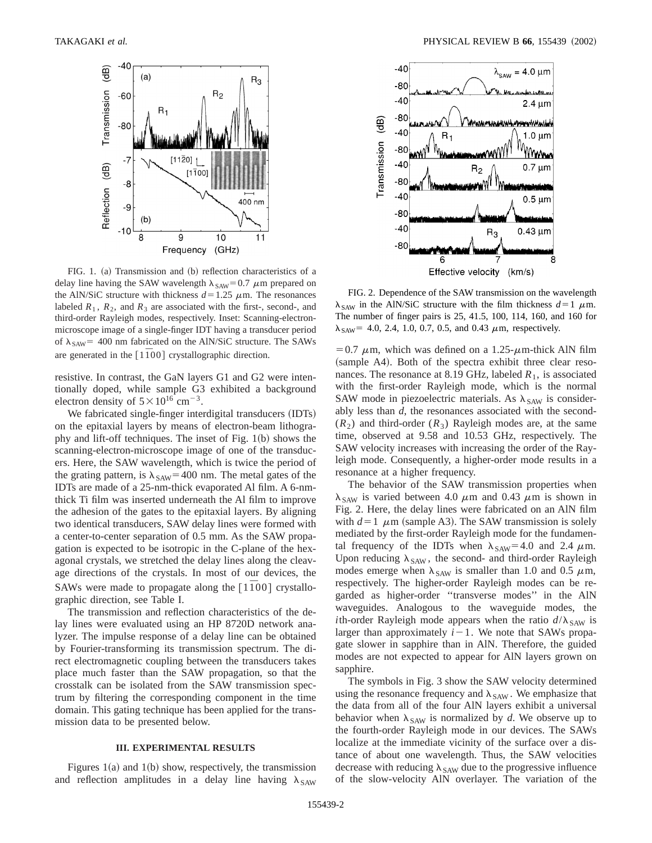

FIG. 1. (a) Transmission and (b) reflection characteristics of a delay line having the SAW wavelength  $\lambda_{SAW}$ =0.7  $\mu$ m prepared on the AlN/SiC structure with thickness  $d=1.25 \mu$ m. The resonances labeled  $R_1$ ,  $R_2$ , and  $R_3$  are associated with the first-, second-, and third-order Rayleigh modes, respectively. Inset: Scanning-electronmicroscope image of a single-finger IDT having a transducer period of  $\lambda_{SAW}$ = 400 nm fabricated on the AlN/SiC structure. The SAWs are generated in the  $[1\overline{1}00]$  crystallographic direction.

resistive. In contrast, the GaN layers G1 and G2 were intentionally doped, while sample G3 exhibited a background electron density of  $5 \times 10^{16}$  cm<sup>-3</sup>.

We fabricated single-finger interdigital transducers (IDTs) on the epitaxial layers by means of electron-beam lithography and lift-off techniques. The inset of Fig.  $1(b)$  shows the scanning-electron-microscope image of one of the transducers. Here, the SAW wavelength, which is twice the period of the grating pattern, is  $\lambda_{SAW}$ =400 nm. The metal gates of the IDTs are made of a 25-nm-thick evaporated Al film. A 6-nmthick Ti film was inserted underneath the Al film to improve the adhesion of the gates to the epitaxial layers. By aligning two identical transducers, SAW delay lines were formed with a center-to-center separation of 0.5 mm. As the SAW propagation is expected to be isotropic in the C-plane of the hexagonal crystals, we stretched the delay lines along the cleavage directions of the crystals. In most of our devices, the SAWs were made to propagate along the  $\lceil 1\bar{1}00 \rceil$  crystallographic direction, see Table I.

The transmission and reflection characteristics of the delay lines were evaluated using an HP 8720D network analyzer. The impulse response of a delay line can be obtained by Fourier-transforming its transmission spectrum. The direct electromagnetic coupling between the transducers takes place much faster than the SAW propagation, so that the crosstalk can be isolated from the SAW transmission spectrum by filtering the corresponding component in the time domain. This gating technique has been applied for the transmission data to be presented below.

# **III. EXPERIMENTAL RESULTS**

Figures  $1(a)$  and  $1(b)$  show, respectively, the transmission and reflection amplitudes in a delay line having  $\lambda_{SAW}$ 



FIG. 2. Dependence of the SAW transmission on the wavelength  $\lambda_{SAW}$  in the AlN/SiC structure with the film thickness  $d=1$   $\mu$ m. The number of finger pairs is 25, 41.5, 100, 114, 160, and 160 for  $\lambda_{SAW}$  = 4.0, 2.4, 1.0, 0.7, 0.5, and 0.43  $\mu$ m, respectively.

= 0.7  $\mu$ m, which was defined on a 1.25- $\mu$ m-thick AlN film (sample A4). Both of the spectra exhibit three clear resonances. The resonance at 8.19 GHz, labeled  $R_1$ , is associated with the first-order Rayleigh mode, which is the normal SAW mode in piezoelectric materials. As  $\lambda_{SAW}$  is considerably less than *d*, the resonances associated with the second-  $(R<sub>2</sub>)$  and third-order  $(R<sub>3</sub>)$  Rayleigh modes are, at the same time, observed at 9.58 and 10.53 GHz, respectively. The SAW velocity increases with increasing the order of the Rayleigh mode. Consequently, a higher-order mode results in a resonance at a higher frequency.

The behavior of the SAW transmission properties when  $\lambda_{SAW}$  is varied between 4.0  $\mu$ m and 0.43  $\mu$ m is shown in Fig. 2. Here, the delay lines were fabricated on an AlN film with  $d=1$   $\mu$ m (sample A3). The SAW transmission is solely mediated by the first-order Rayleigh mode for the fundamental frequency of the IDTs when  $\lambda_{SAW}$ =4.0 and 2.4  $\mu$ m. Upon reducing  $\lambda_{SAW}$ , the second- and third-order Rayleigh modes emerge when  $\lambda_{SAW}$  is smaller than 1.0 and 0.5  $\mu$ m, respectively. The higher-order Rayleigh modes can be regarded as higher-order ''transverse modes'' in the AlN waveguides. Analogous to the waveguide modes, the *i*th-order Rayleigh mode appears when the ratio  $d/\lambda_{SAW}$  is larger than approximately  $i-1$ . We note that SAWs propagate slower in sapphire than in AlN. Therefore, the guided modes are not expected to appear for AlN layers grown on sapphire.

The symbols in Fig. 3 show the SAW velocity determined using the resonance frequency and  $\lambda_{SAW}$ . We emphasize that the data from all of the four AlN layers exhibit a universal behavior when  $\lambda_{SAW}$  is normalized by *d*. We observe up to the fourth-order Rayleigh mode in our devices. The SAWs localize at the immediate vicinity of the surface over a distance of about one wavelength. Thus, the SAW velocities decrease with reducing  $\lambda_{SAW}$  due to the progressive influence of the slow-velocity AlN overlayer. The variation of the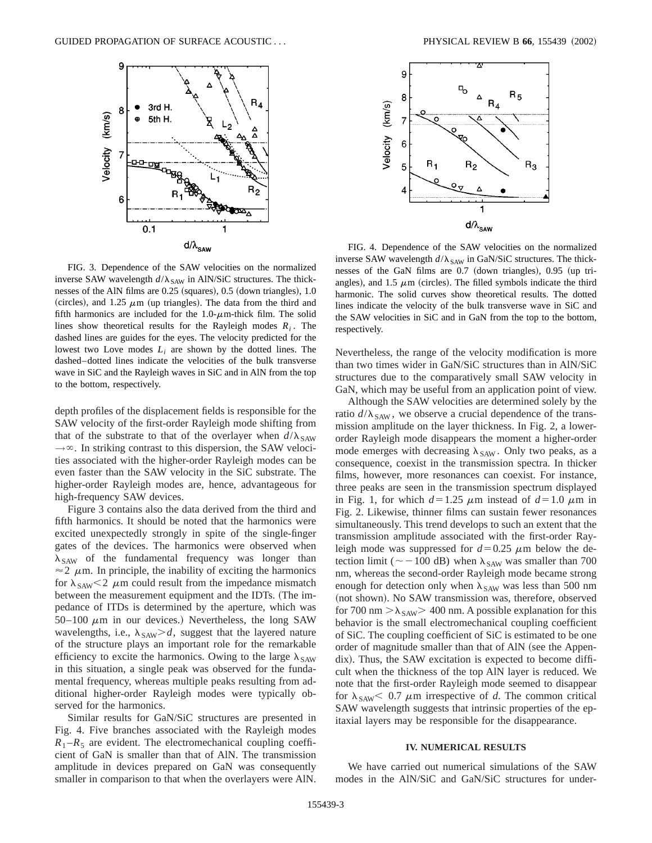

FIG. 3. Dependence of the SAW velocities on the normalized inverse SAW wavelength  $d/\lambda_{SAW}$  in AlN/SiC structures. The thicknesses of the AlN films are  $0.25$  (squares),  $0.5$  (down triangles),  $1.0$ (circles), and 1.25  $\mu$ m (up triangles). The data from the third and fifth harmonics are included for the  $1.0$ - $\mu$ m-thick film. The solid lines show theoretical results for the Rayleigh modes  $R_i$ . The dashed lines are guides for the eyes. The velocity predicted for the lowest two Love modes  $L_i$  are shown by the dotted lines. The dashed–dotted lines indicate the velocities of the bulk transverse wave in SiC and the Rayleigh waves in SiC and in AlN from the top to the bottom, respectively.

depth profiles of the displacement fields is responsible for the SAW velocity of the first-order Rayleigh mode shifting from that of the substrate to that of the overlayer when  $d/\lambda_{SAW}$  $\rightarrow \infty$ . In striking contrast to this dispersion, the SAW velocities associated with the higher-order Rayleigh modes can be even faster than the SAW velocity in the SiC substrate. The higher-order Rayleigh modes are, hence, advantageous for high-frequency SAW devices.

Figure 3 contains also the data derived from the third and fifth harmonics. It should be noted that the harmonics were excited unexpectedly strongly in spite of the single-finger gates of the devices. The harmonics were observed when  $\lambda_{SAW}$  of the fundamental frequency was longer than  $\approx$  2  $\mu$ m. In principle, the inability of exciting the harmonics for  $\lambda_{SAW}$  < 2  $\mu$ m could result from the impedance mismatch between the measurement equipment and the IDTs. (The impedance of ITDs is determined by the aperture, which was 50–100  $\mu$ m in our devices.) Nevertheless, the long SAW wavelengths, i.e.,  $\lambda_{SAW} > d$ , suggest that the layered nature of the structure plays an important role for the remarkable efficiency to excite the harmonics. Owing to the large  $\lambda_{SAW}$ in this situation, a single peak was observed for the fundamental frequency, whereas multiple peaks resulting from additional higher-order Rayleigh modes were typically observed for the harmonics.

Similar results for GaN/SiC structures are presented in Fig. 4. Five branches associated with the Rayleigh modes  $R_1 - R_5$  are evident. The electromechanical coupling coefficient of GaN is smaller than that of AlN. The transmission amplitude in devices prepared on GaN was consequently smaller in comparison to that when the overlayers were AlN.



FIG. 4. Dependence of the SAW velocities on the normalized inverse SAW wavelength  $d/\lambda_{SAW}$  in GaN/SiC structures. The thicknesses of the GaN films are 0.7 (down triangles), 0.95 (up triangles), and 1.5  $\mu$ m (circles). The filled symbols indicate the third harmonic. The solid curves show theoretical results. The dotted lines indicate the velocity of the bulk transverse wave in SiC and the SAW velocities in SiC and in GaN from the top to the bottom, respectively.

Nevertheless, the range of the velocity modification is more than two times wider in GaN/SiC structures than in AlN/SiC structures due to the comparatively small SAW velocity in GaN, which may be useful from an application point of view.

Although the SAW velocities are determined solely by the ratio  $d/\lambda_{SAW}$ , we observe a crucial dependence of the transmission amplitude on the layer thickness. In Fig. 2, a lowerorder Rayleigh mode disappears the moment a higher-order mode emerges with decreasing  $\lambda_{SAW}$ . Only two peaks, as a consequence, coexist in the transmission spectra. In thicker films, however, more resonances can coexist. For instance, three peaks are seen in the transmission spectrum displayed in Fig. 1, for which  $d=1.25 \mu m$  instead of  $d=1.0 \mu m$  in Fig. 2. Likewise, thinner films can sustain fewer resonances simultaneously. This trend develops to such an extent that the transmission amplitude associated with the first-order Rayleigh mode was suppressed for  $d=0.25 \mu$ m below the detection limit ( $\sim$  -100 dB) when  $\lambda_{SAW}$  was smaller than 700 nm, whereas the second-order Rayleigh mode became strong enough for detection only when  $\lambda_{SAW}$  was less than 500 nm (not shown). No SAW transmission was, therefore, observed for 700 nm  $>\lambda_{SAW}$  400 nm. A possible explanation for this behavior is the small electromechanical coupling coefficient of SiC. The coupling coefficient of SiC is estimated to be one order of magnitude smaller than that of AlN (see the Appendix). Thus, the SAW excitation is expected to become difficult when the thickness of the top AlN layer is reduced. We note that the first-order Rayleigh mode seemed to disappear for  $\lambda_{SAW}$  < 0.7  $\mu$ m irrespective of *d*. The common critical SAW wavelength suggests that intrinsic properties of the epitaxial layers may be responsible for the disappearance.

#### **IV. NUMERICAL RESULTS**

We have carried out numerical simulations of the SAW modes in the AlN/SiC and GaN/SiC structures for under-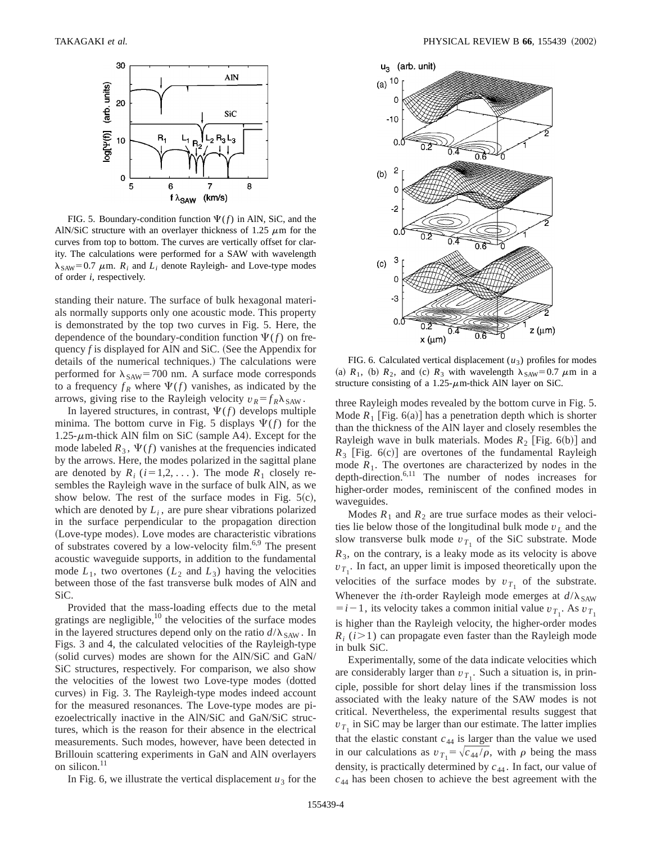

FIG. 5. Boundary-condition function  $\Psi(f)$  in AlN, SiC, and the AlN/SiC structure with an overlayer thickness of 1.25  $\mu$ m for the curves from top to bottom. The curves are vertically offset for clarity. The calculations were performed for a SAW with wavelength  $\lambda_{SAW}$ =0.7  $\mu$ m.  $R_i$  and  $L_i$  denote Rayleigh- and Love-type modes of order *i*, respectively.

standing their nature. The surface of bulk hexagonal materials normally supports only one acoustic mode. This property is demonstrated by the top two curves in Fig. 5. Here, the dependence of the boundary-condition function  $\Psi(f)$  on frequency  $f$  is displayed for AlN and SiC. (See the Appendix for details of the numerical techniques.) The calculations were performed for  $\lambda_{SAW}$ =700 nm. A surface mode corresponds to a frequency  $f_R$  where  $\Psi(f)$  vanishes, as indicated by the arrows, giving rise to the Rayleigh velocity  $v_R = f_R \lambda_{SAW}$ .

In layered structures, in contrast,  $\Psi(f)$  develops multiple minima. The bottom curve in Fig. 5 displays  $\Psi(f)$  for the 1.25- $\mu$ m-thick AlN film on SiC (sample A4). Except for the mode labeled  $R_3$ ,  $\Psi(f)$  vanishes at the frequencies indicated by the arrows. Here, the modes polarized in the sagittal plane are denoted by  $R_i$  ( $i=1,2,...$ ). The mode  $R_1$  closely resembles the Rayleigh wave in the surface of bulk AlN, as we show below. The rest of the surface modes in Fig.  $5(c)$ , which are denoted by  $L_i$ , are pure shear vibrations polarized in the surface perpendicular to the propagation direction (Love-type modes). Love modes are characteristic vibrations of substrates covered by a low-velocity film.6,9 The present acoustic waveguide supports, in addition to the fundamental mode  $L_1$ , two overtones  $(L_2 \text{ and } L_3)$  having the velocities between those of the fast transverse bulk modes of AlN and SiC.

Provided that the mass-loading effects due to the metal gratings are negligible,<sup>10</sup> the velocities of the surface modes in the layered structures depend only on the ratio  $d/\lambda_{SAW}$ . In Figs. 3 and 4, the calculated velocities of the Rayleigh-type (solid curves) modes are shown for the AlN/SiC and GaN/ SiC structures, respectively. For comparison, we also show the velocities of the lowest two Love-type modes (dotted curves) in Fig. 3. The Rayleigh-type modes indeed account for the measured resonances. The Love-type modes are piezoelectrically inactive in the AlN/SiC and GaN/SiC structures, which is the reason for their absence in the electrical measurements. Such modes, however, have been detected in Brillouin scattering experiments in GaN and AlN overlayers on silicon.<sup>11</sup>



FIG. 6. Calculated vertical displacement  $(u_3)$  profiles for modes (a)  $R_1$ , (b)  $R_2$ , and (c)  $R_3$  with wavelength  $\lambda_{SAW} = 0.7 \mu m$  in a structure consisting of a 1.25- $\mu$ m-thick AlN layer on SiC.

three Rayleigh modes revealed by the bottom curve in Fig. 5. Mode  $R_1$  [Fig. 6(a)] has a penetration depth which is shorter than the thickness of the AlN layer and closely resembles the Rayleigh wave in bulk materials. Modes  $R_2$  [Fig. 6(b)] and  $R_3$  [Fig. 6(c)] are overtones of the fundamental Rayleigh mode  $R_1$ . The overtones are characterized by nodes in the depth-direction.6,11 The number of nodes increases for higher-order modes, reminiscent of the confined modes in waveguides.

Modes  $R_1$  and  $R_2$  are true surface modes as their velocities lie below those of the longitudinal bulk mode *v<sup>L</sup>* and the slow transverse bulk mode  $v_{T_1}$  of the SiC substrate. Mode  $R<sub>3</sub>$ , on the contrary, is a leaky mode as its velocity is above  $v_{T_1}$ . In fact, an upper limit is imposed theoretically upon the velocities of the surface modes by  $v_{T_1}$  of the substrate. Whenever the *i*th-order Rayleigh mode emerges at  $d/\lambda_{SAW}$  $= i - 1$ , its velocity takes a common initial value  $v_{T_1}$ . As  $v_{T_1}$ is higher than the Rayleigh velocity, the higher-order modes  $R_i$  ( $i > 1$ ) can propagate even faster than the Rayleigh mode in bulk SiC.

Experimentally, some of the data indicate velocities which are considerably larger than  $v_{T_1}$ . Such a situation is, in principle, possible for short delay lines if the transmission loss associated with the leaky nature of the SAW modes is not critical. Nevertheless, the experimental results suggest that  $v_{T_1}$  in SiC may be larger than our estimate. The latter implies that the elastic constant  $c_{44}$  is larger than the value we used in our calculations as  $v_{T_1} = \sqrt{c_{44}/\rho}$ , with  $\rho$  being the mass density, is practically determined by  $c_{44}$ . In fact, our value of  $c_{44}$  has been chosen to achieve the best agreement with the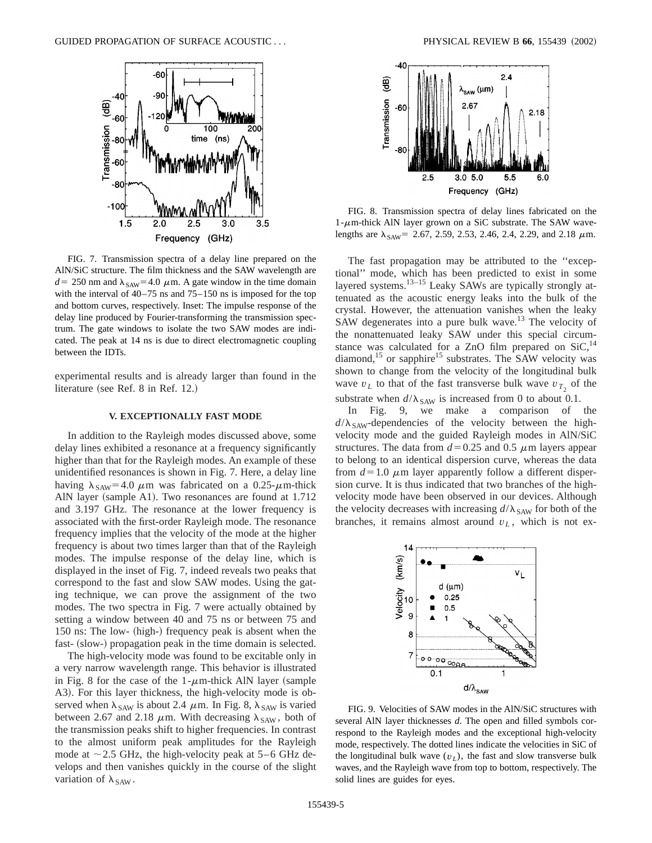

FIG. 7. Transmission spectra of a delay line prepared on the AlN/SiC structure. The film thickness and the SAW wavelength are  $d=250$  nm and  $\lambda_{SAW}$ =4.0  $\mu$ m. A gate window in the time domain with the interval of 40–75 ns and 75–150 ns is imposed for the top and bottom curves, respectively. Inset: The impulse response of the delay line produced by Fourier-transforming the transmission spectrum. The gate windows to isolate the two SAW modes are indicated. The peak at 14 ns is due to direct electromagnetic coupling between the IDTs.

experimental results and is already larger than found in the literature (see Ref.  $8$  in Ref. 12.)

## **V. EXCEPTIONALLY FAST MODE**

In addition to the Rayleigh modes discussed above, some delay lines exhibited a resonance at a frequency significantly higher than that for the Rayleigh modes. An example of these unidentified resonances is shown in Fig. 7. Here, a delay line having  $\lambda_{SAW}$ =4.0  $\mu$ m was fabricated on a 0.25- $\mu$ m-thick AlN layer (sample A1). Two resonances are found at  $1.712$ and 3.197 GHz. The resonance at the lower frequency is associated with the first-order Rayleigh mode. The resonance frequency implies that the velocity of the mode at the higher frequency is about two times larger than that of the Rayleigh modes. The impulse response of the delay line, which is displayed in the inset of Fig. 7, indeed reveals two peaks that correspond to the fast and slow SAW modes. Using the gating technique, we can prove the assignment of the two modes. The two spectra in Fig. 7 were actually obtained by setting a window between 40 and 75 ns or between 75 and 150 ns: The low- (high-) frequency peak is absent when the fast- (slow-) propagation peak in the time domain is selected.

The high-velocity mode was found to be excitable only in a very narrow wavelength range. This behavior is illustrated in Fig. 8 for the case of the  $1-\mu$ m-thick AlN layer (sample A3). For this layer thickness, the high-velocity mode is observed when  $\lambda_{SAW}$  is about 2.4  $\mu$ m. In Fig. 8,  $\lambda_{SAW}$  is varied between 2.67 and 2.18  $\mu$ m. With decreasing  $\lambda_{SAW}$ , both of the transmission peaks shift to higher frequencies. In contrast to the almost uniform peak amplitudes for the Rayleigh mode at  $\sim$  2.5 GHz, the high-velocity peak at 5–6 GHz develops and then vanishes quickly in the course of the slight variation of  $\lambda_{SAW}$ .



FIG. 8. Transmission spectra of delay lines fabricated on the 1- $\mu$ m-thick AlN layer grown on a SiC substrate. The SAW wavelengths are  $\lambda_{SAW}$ = 2.67, 2.59, 2.53, 2.46, 2.4, 2.29, and 2.18  $\mu$ m.

The fast propagation may be attributed to the ''exceptional'' mode, which has been predicted to exist in some layered systems.<sup>13–15</sup> Leaky SAWs are typically strongly attenuated as the acoustic energy leaks into the bulk of the crystal. However, the attenuation vanishes when the leaky SAW degenerates into a pure bulk wave. $13$  The velocity of the nonattenuated leaky SAW under this special circumstance was calculated for a ZnO film prepared on  $SiC<sub>14</sub>$ diamond,<sup>15</sup> or sapphire<sup>15</sup> substrates. The SAW velocity was shown to change from the velocity of the longitudinal bulk wave  $v_L$  to that of the fast transverse bulk wave  $v_{T_2}$  of the substrate when  $d/\lambda_{SAW}$  is increased from 0 to about 0.1.

In Fig. 9, we make a comparison of the  $d/\lambda_{SAW}$ -dependencies of the velocity between the highvelocity mode and the guided Rayleigh modes in AlN/SiC structures. The data from  $d=0.25$  and 0.5  $\mu$ m layers appear to belong to an identical dispersion curve, whereas the data from  $d=1.0 \mu$ m layer apparently follow a different dispersion curve. It is thus indicated that two branches of the highvelocity mode have been observed in our devices. Although the velocity decreases with increasing  $d/\lambda_{SAW}$  for both of the branches, it remains almost around  $v_L$ , which is not ex-



FIG. 9. Velocities of SAW modes in the AlN/SiC structures with several AlN layer thicknesses *d*. The open and filled symbols correspond to the Rayleigh modes and the exceptional high-velocity mode, respectively. The dotted lines indicate the velocities in SiC of the longitudinal bulk wave  $(v_L)$ , the fast and slow transverse bulk waves, and the Rayleigh wave from top to bottom, respectively. The solid lines are guides for eyes.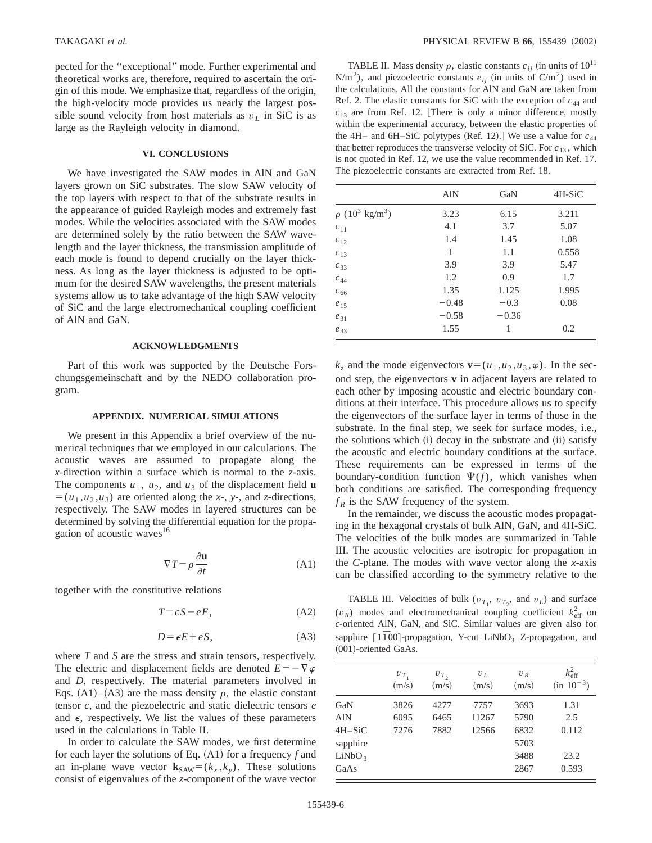pected for the ''exceptional'' mode. Further experimental and theoretical works are, therefore, required to ascertain the origin of this mode. We emphasize that, regardless of the origin, the high-velocity mode provides us nearly the largest possible sound velocity from host materials as  $v_L$  in SiC is as large as the Rayleigh velocity in diamond.

# **VI. CONCLUSIONS**

We have investigated the SAW modes in AlN and GaN layers grown on SiC substrates. The slow SAW velocity of the top layers with respect to that of the substrate results in the appearance of guided Rayleigh modes and extremely fast modes. While the velocities associated with the SAW modes are determined solely by the ratio between the SAW wavelength and the layer thickness, the transmission amplitude of each mode is found to depend crucially on the layer thickness. As long as the layer thickness is adjusted to be optimum for the desired SAW wavelengths, the present materials systems allow us to take advantage of the high SAW velocity of SiC and the large electromechanical coupling coefficient of AlN and GaN.

# **ACKNOWLEDGMENTS**

Part of this work was supported by the Deutsche Forschungsgemeinschaft and by the NEDO collaboration program.

## **APPENDIX. NUMERICAL SIMULATIONS**

We present in this Appendix a brief overview of the numerical techniques that we employed in our calculations. The acoustic waves are assumed to propagate along the *x*-direction within a surface which is normal to the *z*-axis. The components  $u_1$ ,  $u_2$ , and  $u_3$  of the displacement field **u**  $=(u_1, u_2, u_3)$  are oriented along the *x*-, *y*-, and *z*-directions, respectively. The SAW modes in layered structures can be determined by solving the differential equation for the propagation of acoustic waves<sup>16</sup>

$$
\nabla T = \rho \frac{\partial \mathbf{u}}{\partial t}
$$
 (A1)

together with the constitutive relations

$$
T = cS - eE, \tag{A2}
$$

$$
D = \epsilon E + eS, \tag{A3}
$$

where *T* and *S* are the stress and strain tensors, respectively. The electric and displacement fields are denoted  $E=-\nabla \varphi$ and *D*, respectively. The material parameters involved in Eqs.  $(A1)$ – $(A3)$  are the mass density  $\rho$ , the elastic constant tensor *c*, and the piezoelectric and static dielectric tensors *e* and  $\epsilon$ , respectively. We list the values of these parameters used in the calculations in Table II.

In order to calculate the SAW modes, we first determine for each layer the solutions of Eq.  $(A1)$  for a frequency *f* and an in-plane wave vector  $\mathbf{k}_{SAW} = (k_x, k_y)$ . These solutions consist of eigenvalues of the *z*-component of the wave vector

TABLE II. Mass density  $\rho$ , elastic constants  $c_{ii}$  (in units of 10<sup>11</sup>)  $N/m<sup>2</sup>$ ), and piezoelectric constants  $e_{ij}$  (in units of C/m<sup>2</sup>) used in the calculations. All the constants for AlN and GaN are taken from Ref. 2. The elastic constants for SiC with the exception of  $c_{44}$  and  $c_{13}$  are from Ref. 12. There is only a minor difference, mostly within the experimental accuracy, between the elastic properties of the 4H– and 6H–SiC polytypes (Ref. 12).] We use a value for  $c_{44}$ that better reproduces the transverse velocity of SiC. For  $c_{13}$ , which is not quoted in Ref. 12, we use the value recommended in Ref. 17. The piezoelectric constants are extracted from Ref. 18.

|                                             | <b>AlN</b> | GaN     | 4H-SiC |
|---------------------------------------------|------------|---------|--------|
| $\rho$ (10 <sup>3</sup> kg/m <sup>3</sup> ) | 3.23       | 6.15    | 3.211  |
| $c_{11}$                                    | 4.1        | 3.7     | 5.07   |
| $c_{12}$                                    | 1.4        | 1.45    | 1.08   |
| $c_{13}$                                    | 1          | 1.1     | 0.558  |
| $c_{33}$                                    | 3.9        | 3.9     | 5.47   |
| $c_{44}$                                    | 1.2        | 0.9     | 1.7    |
| $c_{66}$                                    | 1.35       | 1.125   | 1.995  |
| $e_{15}$                                    | $-0.48$    | $-0.3$  | 0.08   |
| $e_{31}$                                    | $-0.58$    | $-0.36$ |        |
| $e_{33}$                                    | 1.55       | 1       | 0.2    |

 $k_z$  and the mode eigenvectors  $\mathbf{v}=(u_1, u_2, u_3, \varphi)$ . In the second step, the eigenvectors **v** in adjacent layers are related to each other by imposing acoustic and electric boundary conditions at their interface. This procedure allows us to specify the eigenvectors of the surface layer in terms of those in the substrate. In the final step, we seek for surface modes, i.e., the solutions which  $(i)$  decay in the substrate and  $(ii)$  satisfy the acoustic and electric boundary conditions at the surface. These requirements can be expressed in terms of the boundary-condition function  $\Psi(f)$ , which vanishes when both conditions are satisfied. The corresponding frequency  $f_R$  is the SAW frequency of the system.

In the remainder, we discuss the acoustic modes propagating in the hexagonal crystals of bulk AlN, GaN, and 4H-SiC. The velocities of the bulk modes are summarized in Table III. The acoustic velocities are isotropic for propagation in the *C*-plane. The modes with wave vector along the *x*-axis can be classified according to the symmetry relative to the

TABLE III. Velocities of bulk  $(v_{T_1}, v_{T_2}, \text{ and } v_L)$  and surface  $(v_R)$  modes and electromechanical coupling coefficient  $k_{\text{eff}}^2$  on *c*-oriented AlN, GaN, and SiC. Similar values are given also for sapphire [1<sup> $\overline{1}$ 00]-propagation, Y-cut LiNbO<sub>3</sub> Z-propagation, and</sup>  $(001)$ -oriented GaAs.

|                    | $v_{T_1}$<br>(m/s) | $v_{T_2}$<br>(m/s) | $v_L$<br>(m/s) | $U_R$<br>(m/s) | $k_{\text{eff}}^2$<br>$(in 10^{-3})$ |
|--------------------|--------------------|--------------------|----------------|----------------|--------------------------------------|
| GaN                | 3826               | 4277               | 7757           | 3693           | 1.31                                 |
| <b>AlN</b>         | 6095               | 6465               | 11267          | 5790           | 2.5                                  |
| $4H-SiC$           | 7276               | 7882               | 12566          | 6832           | 0.112                                |
| sapphire           |                    |                    |                | 5703           |                                      |
| LiNbO <sub>3</sub> |                    |                    |                | 3488           | 23.2                                 |
| GaAs               |                    |                    |                | 2867           | 0.593                                |